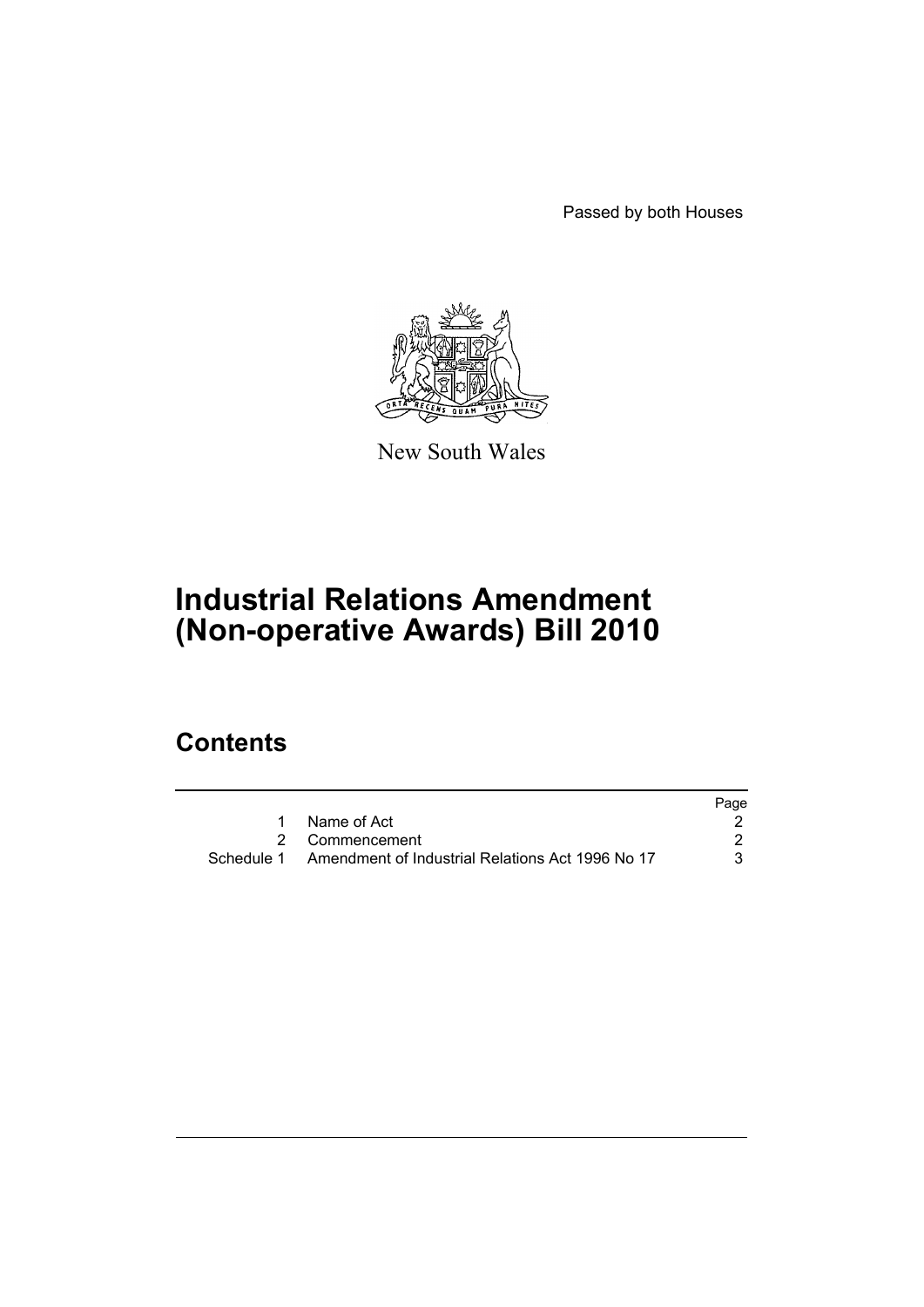Passed by both Houses



New South Wales

# **Industrial Relations Amendment (Non-operative Awards) Bill 2010**

## **Contents**

|            |                                                  | Page |
|------------|--------------------------------------------------|------|
|            | Name of Act                                      |      |
|            | 2 Commencement                                   |      |
| Schedule 1 | Amendment of Industrial Relations Act 1996 No 17 |      |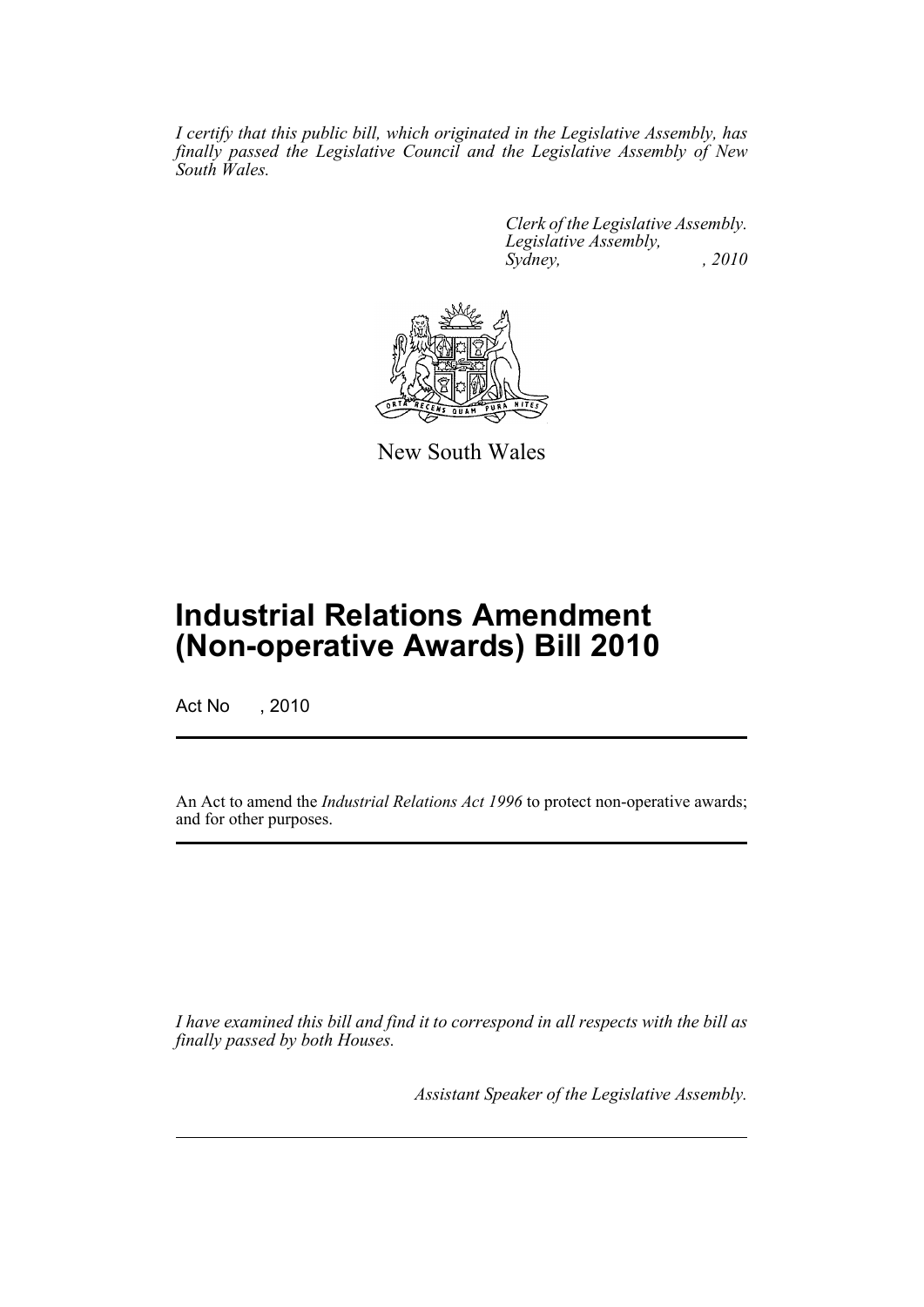*I certify that this public bill, which originated in the Legislative Assembly, has finally passed the Legislative Council and the Legislative Assembly of New South Wales.*

> *Clerk of the Legislative Assembly. Legislative Assembly, Sydney, , 2010*



New South Wales

## **Industrial Relations Amendment (Non-operative Awards) Bill 2010**

Act No , 2010

An Act to amend the *Industrial Relations Act 1996* to protect non-operative awards; and for other purposes.

*I have examined this bill and find it to correspond in all respects with the bill as finally passed by both Houses.*

*Assistant Speaker of the Legislative Assembly.*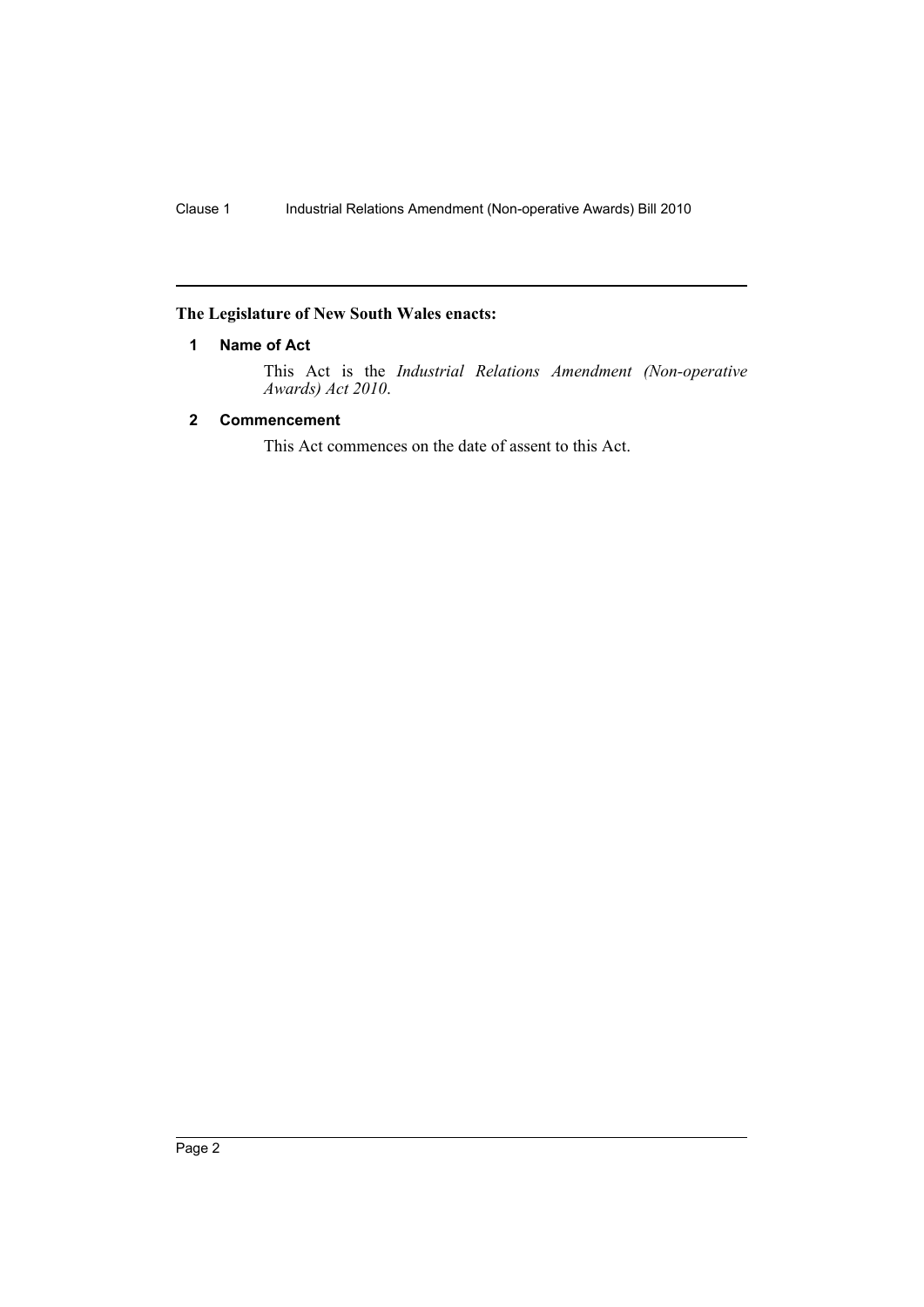### <span id="page-2-0"></span>**The Legislature of New South Wales enacts:**

#### **1 Name of Act**

This Act is the *Industrial Relations Amendment (Non-operative Awards) Act 2010*.

#### <span id="page-2-1"></span>**2 Commencement**

This Act commences on the date of assent to this Act.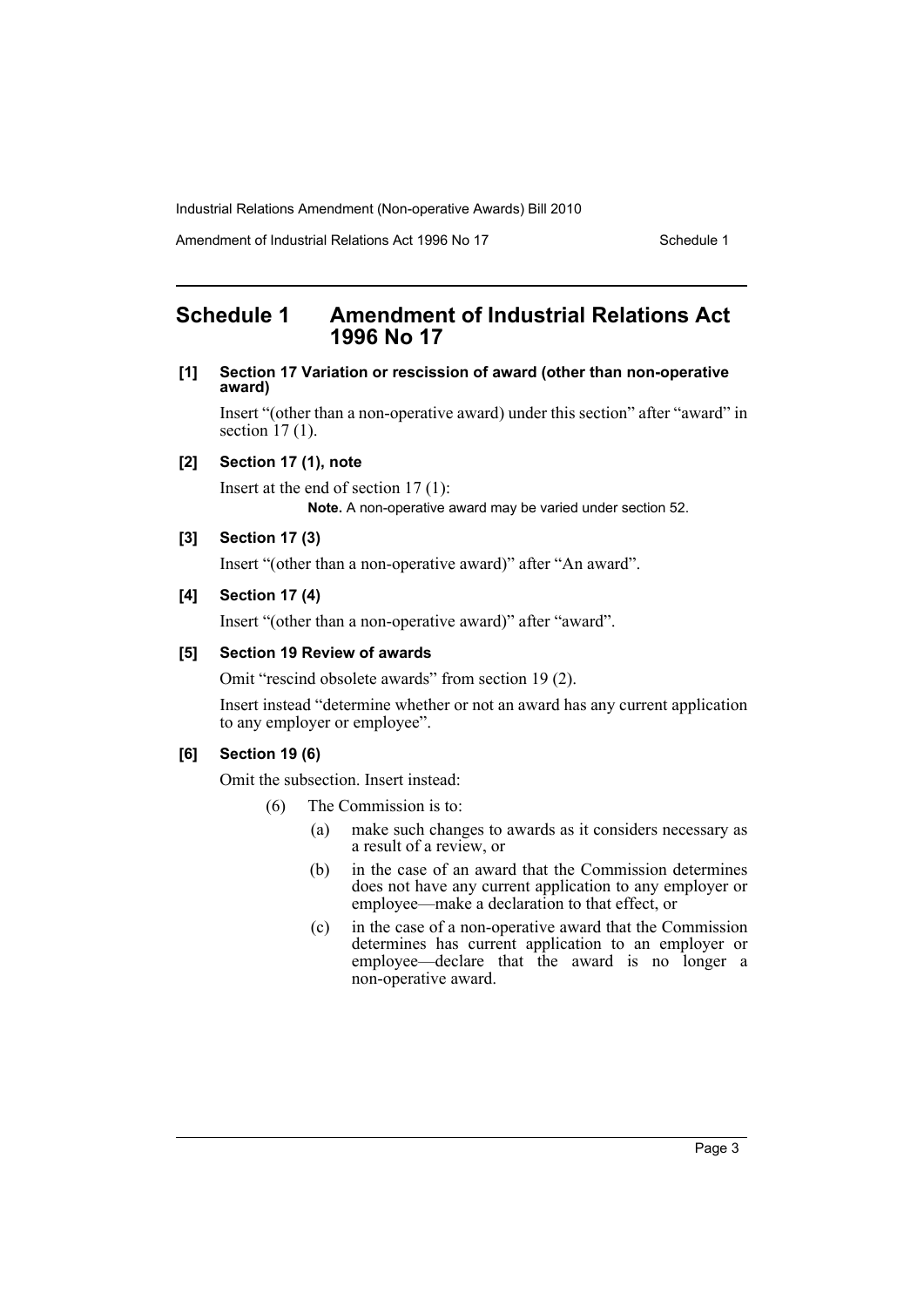Amendment of Industrial Relations Act 1996 No 17 Schedule 1

## <span id="page-3-0"></span>**Schedule 1 Amendment of Industrial Relations Act 1996 No 17**

**[1] Section 17 Variation or rescission of award (other than non-operative award)**

Insert "(other than a non-operative award) under this section" after "award" in section 17 (1).

#### **[2] Section 17 (1), note**

Insert at the end of section 17 (1): **Note.** A non-operative award may be varied under section 52.

#### **[3] Section 17 (3)**

Insert "(other than a non-operative award)" after "An award".

#### **[4] Section 17 (4)**

Insert "(other than a non-operative award)" after "award".

#### **[5] Section 19 Review of awards**

Omit "rescind obsolete awards" from section 19 (2).

Insert instead "determine whether or not an award has any current application to any employer or employee".

#### **[6] Section 19 (6)**

Omit the subsection. Insert instead:

- (6) The Commission is to:
	- (a) make such changes to awards as it considers necessary as a result of a review, or
	- (b) in the case of an award that the Commission determines does not have any current application to any employer or employee—make a declaration to that effect, or
	- (c) in the case of a non-operative award that the Commission determines has current application to an employer or employee—declare that the award is no longer a non-operative award.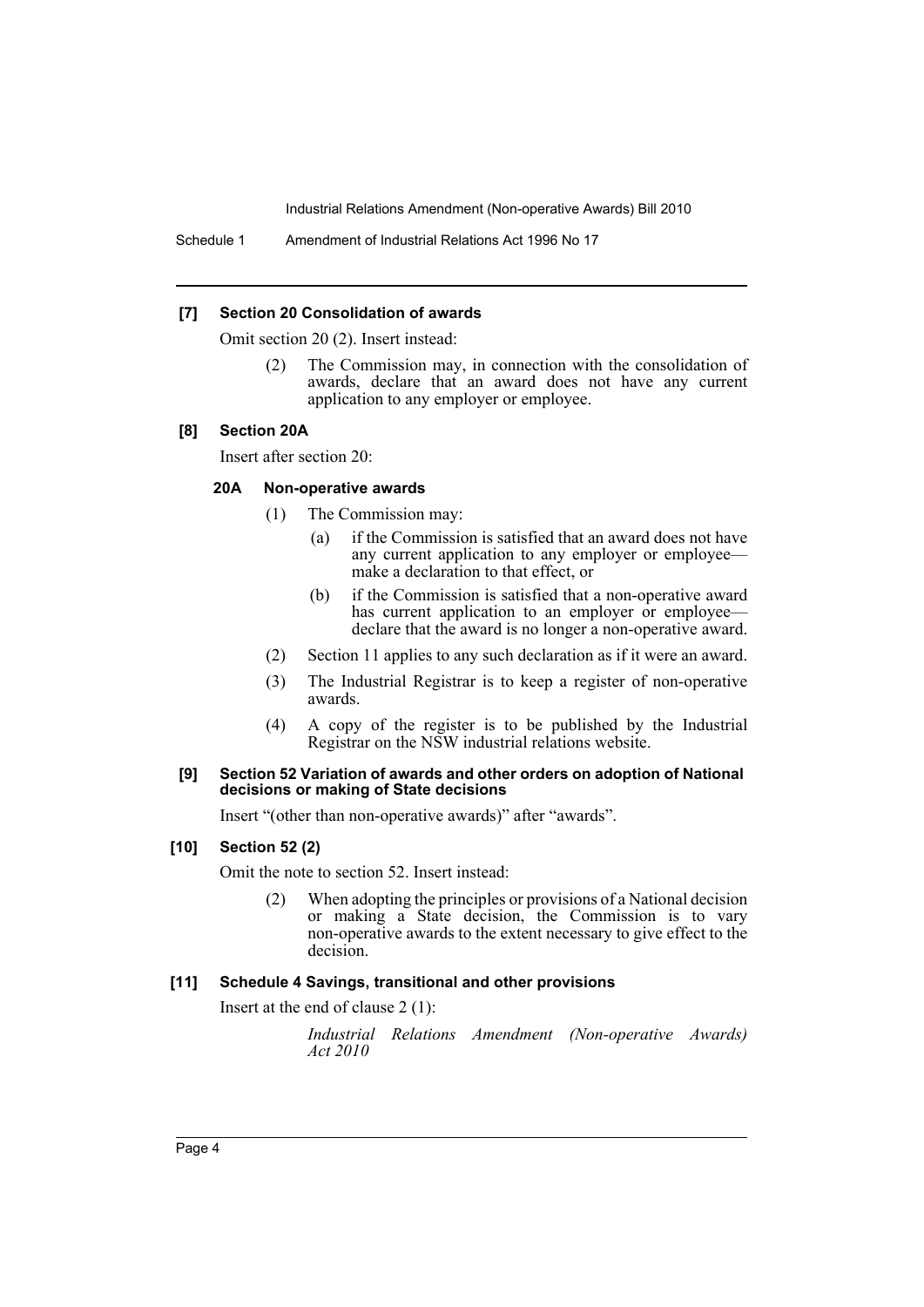Schedule 1 Amendment of Industrial Relations Act 1996 No 17

#### **[7] Section 20 Consolidation of awards**

Omit section 20 (2). Insert instead:

(2) The Commission may, in connection with the consolidation of awards, declare that an award does not have any current application to any employer or employee.

#### **[8] Section 20A**

Insert after section 20:

#### **20A Non-operative awards**

- (1) The Commission may:
	- (a) if the Commission is satisfied that an award does not have any current application to any employer or employee make a declaration to that effect, or
	- (b) if the Commission is satisfied that a non-operative award has current application to an employer or employee declare that the award is no longer a non-operative award.
- (2) Section 11 applies to any such declaration as if it were an award.
- (3) The Industrial Registrar is to keep a register of non-operative awards.
- (4) A copy of the register is to be published by the Industrial Registrar on the NSW industrial relations website.

#### **[9] Section 52 Variation of awards and other orders on adoption of National decisions or making of State decisions**

Insert "(other than non-operative awards)" after "awards".

**[10] Section 52 (2)**

Omit the note to section 52. Insert instead:

(2) When adopting the principles or provisions of a National decision or making a State decision, the Commission is to vary non-operative awards to the extent necessary to give effect to the decision.

#### **[11] Schedule 4 Savings, transitional and other provisions**

Insert at the end of clause 2 (1):

*Industrial Relations Amendment (Non-operative Awards) Act 2010*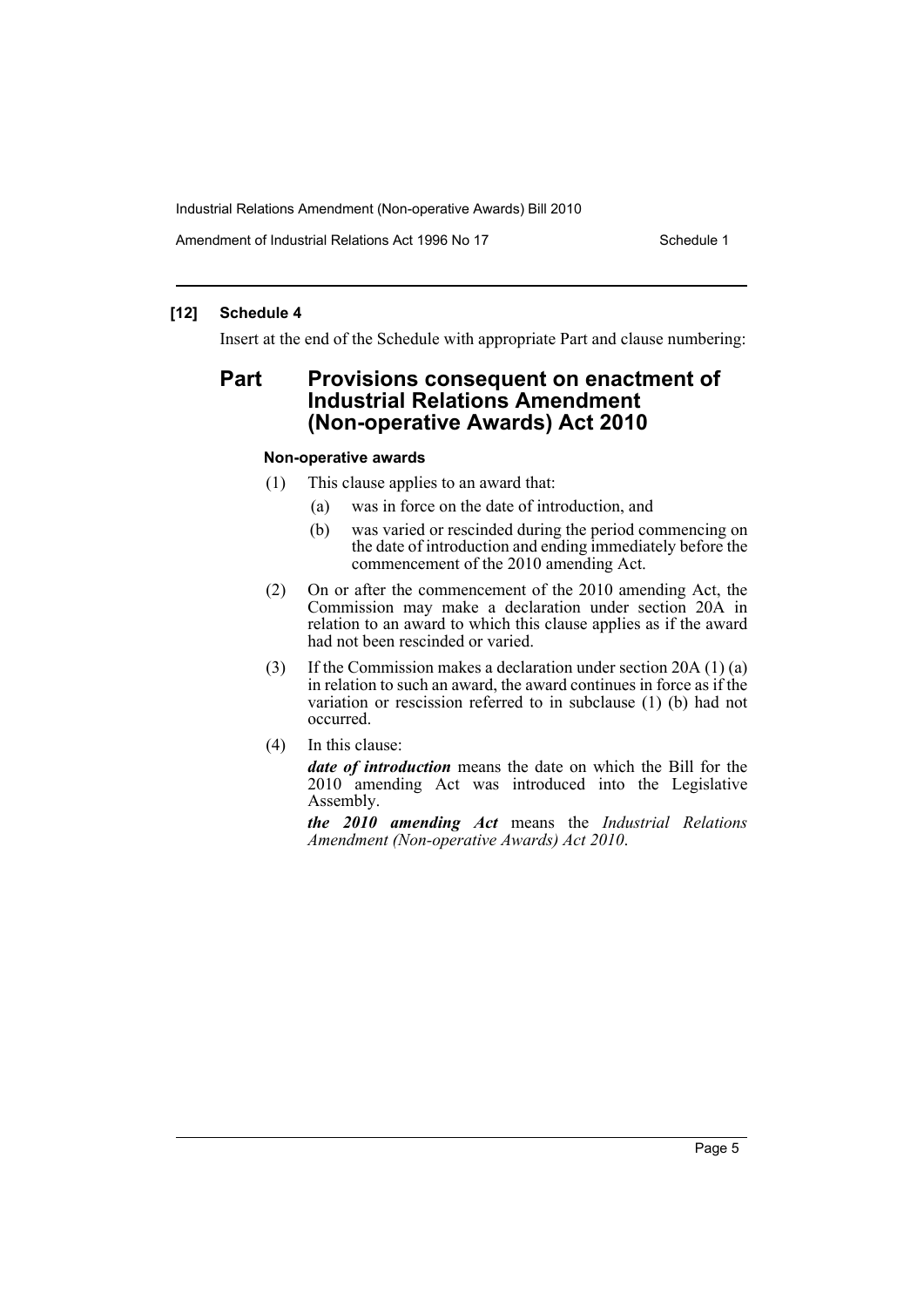Amendment of Industrial Relations Act 1996 No 17 Schedule 1

#### **[12] Schedule 4**

Insert at the end of the Schedule with appropriate Part and clause numbering:

## **Part Provisions consequent on enactment of Industrial Relations Amendment (Non-operative Awards) Act 2010**

#### **Non-operative awards**

- (1) This clause applies to an award that:
	- (a) was in force on the date of introduction, and
	- (b) was varied or rescinded during the period commencing on the date of introduction and ending immediately before the commencement of the 2010 amending Act.
- (2) On or after the commencement of the 2010 amending Act, the Commission may make a declaration under section 20A in relation to an award to which this clause applies as if the award had not been rescinded or varied.
- (3) If the Commission makes a declaration under section 20A (1) (a) in relation to such an award, the award continues in force as if the variation or rescission referred to in subclause (1) (b) had not occurred.
- (4) In this clause:

*date of introduction* means the date on which the Bill for the 2010 amending Act was introduced into the Legislative Assembly.

*the 2010 amending Act* means the *Industrial Relations Amendment (Non-operative Awards) Act 2010*.